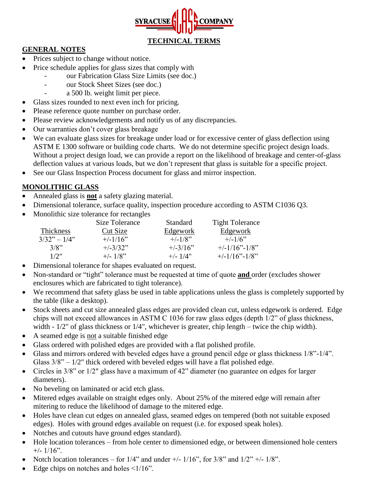

#### **GENERAL NOTES**

- Prices subject to change without notice.
- Price schedule applies for glass sizes that comply with
	- our Fabrication Glass Size Limits (see doc.)
		- our Stock Sheet Sizes (see doc.)
		- a 500 lb. weight limit per piece.
- Glass sizes rounded to next even inch for pricing.
- Please reference quote number on purchase order.
- Please review acknowledgements and notify us of any discrepancies.
- Our warranties don't cover glass breakage
- We can evaluate glass sizes for breakage under load or for excessive center of glass deflection using ASTM E 1300 software or building code charts. We do not determine specific project design loads. Without a project design load, we can provide a report on the likelihood of breakage and center-of-glass deflection values at various loads, but we don't represent that glass is suitable for a specific project.
- See our Glass Inspection Process document for glass and mirror inspection.

#### **MONOLITHIC GLASS**

- Annealed glass is **not** a safety glazing material.
- Dimensional tolerance, surface quality, inspection procedure according to ASTM C1036 Q3.
- Monolithic size tolerance for rectangles

|                  | Size Tolerance | <b>Standard</b> | <b>Tight Tolerance</b> |
|------------------|----------------|-----------------|------------------------|
| <b>Thickness</b> | Cut Size       | Edgework        | Edgework               |
| $3/32" - 1/4"$   | $+/-1/16$ "    | $+/-1/8$ "      | $+/-1/6$ "             |
| 3/8"             | $+/-3/32"$     | $+/-3/16"$      | $+/-1/16"$ -1/8"       |
| 1/2"             | $+/- 1/8"$     | $+/-$ 1/4"      | $+/-1/16"$ -1/8"       |

- Dimensional tolerance for shapes evaluated on request.
- Non-standard or "tight" tolerance must be requested at time of quote **and** order (excludes shower enclosures which are fabricated to tight tolerance).
- We recommend that safety glass be used in table applications unless the glass is completely supported by the table (like a desktop).
- Stock sheets and cut size annealed glass edges are provided clean cut, unless edgework is ordered. Edge chips will not exceed allowances in ASTM C 1036 for raw glass edges (depth 1/2" of glass thickness, width -  $1/2$ " of glass thickness or  $1/4$ ", whichever is greater, chip length – twice the chip width).
- A seamed edge is not a suitable finished edge
- Glass ordered with polished edges are provided with a flat polished profile.
- Glass and mirrors ordered with beveled edges have a ground pencil edge or glass thickness 1/8"-1/4". Glass  $3/8$ " –  $1/2$ " thick ordered with beveled edges will have a flat polished edge.
- Circles in 3/8" or 1/2" glass have a maximum of 42" diameter (no guarantee on edges for larger diameters).
- No beveling on laminated or acid etch glass.
- Mitered edges available on straight edges only. About 25% of the mitered edge will remain after mitering to reduce the likelihood of damage to the mitered edge.
- Holes have clean cut edges on annealed glass, seamed edges on tempered (both not suitable exposed edges). Holes with ground edges available on request (i.e. for exposed speak holes).
- Notches and cutouts have ground edges standard).
- Hole location tolerances from hole center to dimensioned edge, or between dimensioned hole centers  $+/- 1/16$ ".
- Notch location tolerances for  $1/4$ " and under  $+/-1/16$ ", for  $3/8$ " and  $1/2$ " $+/-1/8$ ".
- Edge chips on notches and holes  $\leq 1/16$ ".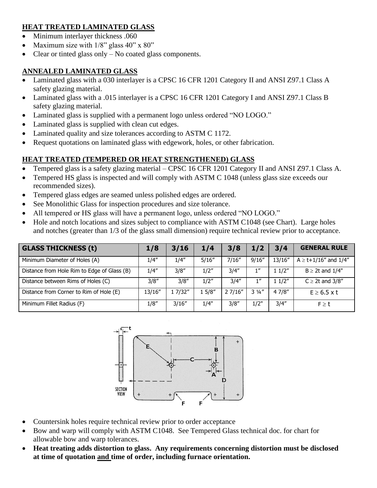## **HEAT TREATED LAMINATED GLASS**

- Minimum interlayer thickness .060
- Maximum size with  $1/8$ " glass  $40$ " x  $80$ "
- Clear or tinted glass only No coated glass components.

## **ANNEALED LAMINATED GLASS**

- Laminated glass with a 030 interlayer is a CPSC 16 CFR 1201 Category II and ANSI Z97.1 Class A safety glazing material.
- Laminated glass with a .015 interlayer is a CPSC 16 CFR 1201 Category I and ANSI Z97.1 Class B safety glazing material.
- Laminated glass is supplied with a permanent logo unless ordered "NO LOGO."
- Laminated glass is supplied with clean cut edges.
- Laminated quality and size tolerances according to ASTM C 1172.
- Request quotations on laminated glass with edgework, holes, or other fabrication.

# **HEAT TREATED (TEMPERED OR HEAT STRENGTHENED) GLASS**

- Tempered glass is a safety glazing material CPSC 16 CFR 1201 Category II and ANSI Z97.1 Class A.
- Tempered HS glass is inspected and will comply with ASTM C 1048 (unless glass size exceeds our recommended sizes).
- Tempered glass edges are seamed unless polished edges are ordered.
- See Monolithic Glass for inspection procedures and size tolerance.
- All tempered or HS glass will have a permanent logo, unless ordered "NO LOGO."
- Hole and notch locations and sizes subject to compliance with ASTM C1048 (see Chart). Large holes and notches (greater than 1/3 of the glass small dimension) require technical review prior to acceptance.

| <b>GLASS THICKNESS (t)</b>                  | 1/8    | 3/16    | 1/4    | 3/8    | 1/2             | 3/4     | <b>GENERAL RULE</b>            |
|---------------------------------------------|--------|---------|--------|--------|-----------------|---------|--------------------------------|
| Minimum Diameter of Holes (A)               | 1/4''  | 1/4''   | 5/16'' | 7/16'' | 9/16''          | 13/16'' | $A \ge t + 1/16''$ and $1/4''$ |
| Distance from Hole Rim to Edge of Glass (B) | 1/4''  | 3/8''   | 1/2"   | 3/4''  | 1''             | 11/2"   | $B \geq 2t$ and $1/4"$         |
| Distance between Rims of Holes (C)          | 3/8"   | 3/8''   | 1/2''  | 3/4''  | 1 <sup>II</sup> | 11/2"   | $C \geq 2t$ and 3/8"           |
| Distance from Corner to Rim of Hole (E)     | 13/16" | 1 7/32" | 15/8'' | 27/16" | $3\frac{1}{4}$  | 47/8''  | $E \ge 6.5$ x t                |
| Minimum Fillet Radius (F)                   | 1/8''  | 3/16''  | 1/4"   | 3/8''  | 1/2"            | 3/4''   | $F \geq t$                     |



- Countersink holes require technical review prior to order acceptance
- Bow and warp will comply with ASTM C1048. See Tempered Glass technical doc. for chart for allowable bow and warp tolerances.
- **Heat treating adds distortion to glass. Any requirements concerning distortion must be disclosed at time of quotation and time of order, including furnace orientation.**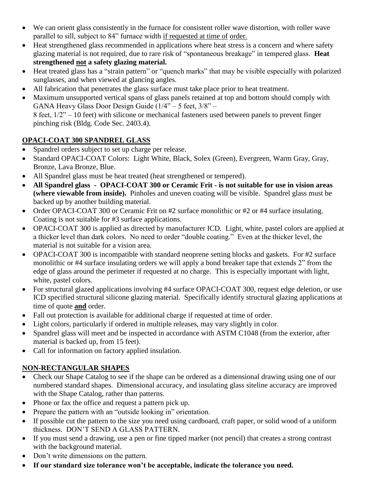- We can orient glass consistently in the furnace for consistent roller wave distortion, with roller wave parallel to sill, subject to 84" furnace width if requested at time of order.
- Heat strengthened glass recommended in applications where heat stress is a concern and where safety glazing material is not required, due to rare risk of "spontaneous breakage" in tempered glass. **Heat strengthened not a safety glazing material.**
- Heat treated glass has a "strain pattern" or "quench marks" that may be visible especially with polarized sunglasses, and when viewed at glancing angles.
- All fabrication that penetrates the glass surface must take place prior to heat treatment.
- Maximum unsupported vertical spans of glass panels retained at top and bottom should comply with GANA Heavy Glass Door Design Guide (1/4" – 5 feet, 3/8" – 8 feet, 1/2" – 10 feet) with silicone or mechanical fasteners used between panels to prevent finger pinching risk (Bldg. Code Sec. 2403.4).

## **OPACI-COAT 300 SPANDREL GLASS**

- Spandrel orders subject to set up charge per release.
- Standard OPACI-COAT Colors: Light White, Black, Solex (Green), Evergreen, Warm Gray, Gray, Bronze, Lava Bronze, Blue.
- All Spandrel glass must be heat treated (heat strengthened or tempered).
- **All Spandrel glass - OPACI-COAT 300 or Ceramic Frit - is not suitable for use in vision areas (where viewable from inside).** Pinholes and uneven coating will be visible. Spandrel glass must be backed up by another building material.
- Order OPACI-COAT 300 or Ceramic Frit on #2 surface monolithic or #2 or #4 surface insulating. Coating is not suitable for #3 surface applications.
- OPACI-COAT 300 is applied as directed by manufacturer ICD. Light, white, pastel colors are applied at a thicker level than dark colors. No need to order "double coating." Even at the thicker level, the material is not suitable for a vision area.
- OPACI-COAT 300 is incompatible with standard neoprene setting blocks and gaskets. For #2 surface monolithic or #4 surface insulating orders we will apply a bond breaker tape that extends 2" from the edge of glass around the perimeter if requested at no charge. This is especially important with light, white, pastel colors.
- For structural glazed applications involving #4 surface OPACI-COAT 300, request edge deletion, or use ICD specified structural silicone glazing material. Specifically identify structural glazing applications at time of quote **and** order.
- Fall out protection is available for additional charge if requested at time of order.
- Light colors, particularly if ordered in multiple releases, may vary slightly in color.
- Spandrel glass will meet and be inspected in accordance with ASTM C1048 (from the exterior, after material is backed up, from 15 feet).
- Call for information on factory applied insulation.

# **NON-RECTANGULAR SHAPES**

- Check our Shape Catalog to see if the shape can be ordered as a dimensional drawing using one of our numbered standard shapes. Dimensional accuracy, and insulating glass siteline accuracy are improved with the Shape Catalog, rather than patterns.
- Phone or fax the office and request a pattern pick up.
- Prepare the pattern with an "outside looking in" orientation.
- If possible cut the pattern to the size you need using cardboard, craft paper, or solid wood of a uniform thickness. DON'T SEND A GLASS PATTERN.
- If you must send a drawing, use a pen or fine tipped marker (not pencil) that creates a strong contrast with the background material.
- Don't write dimensions on the pattern.
- **If our standard size tolerance won't be acceptable, indicate the tolerance you need.**